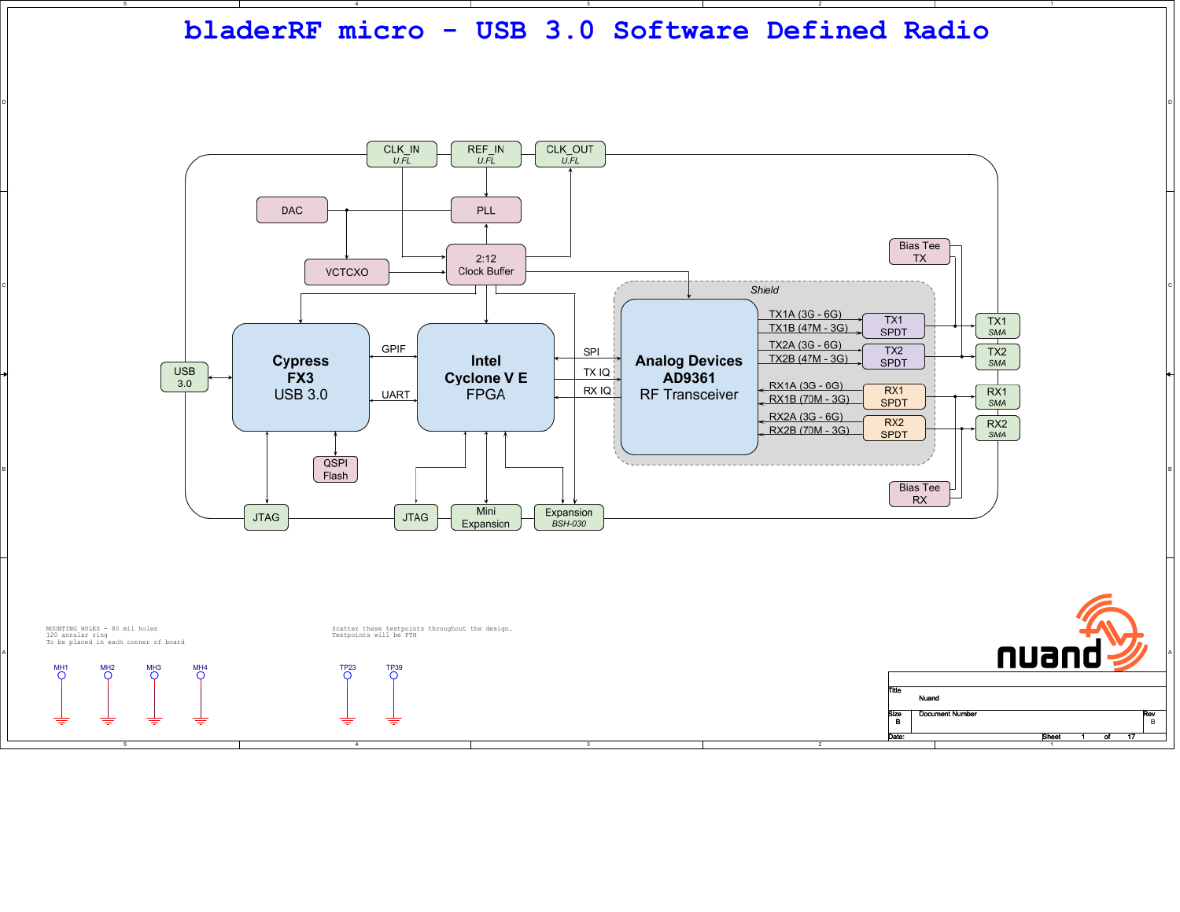

D



B

A

D

MH<sup>-</sup>

4

Size Document Number Rev Date: Sheet 1 of <u>1 of 17</u> <u>s</u>

Size<br>B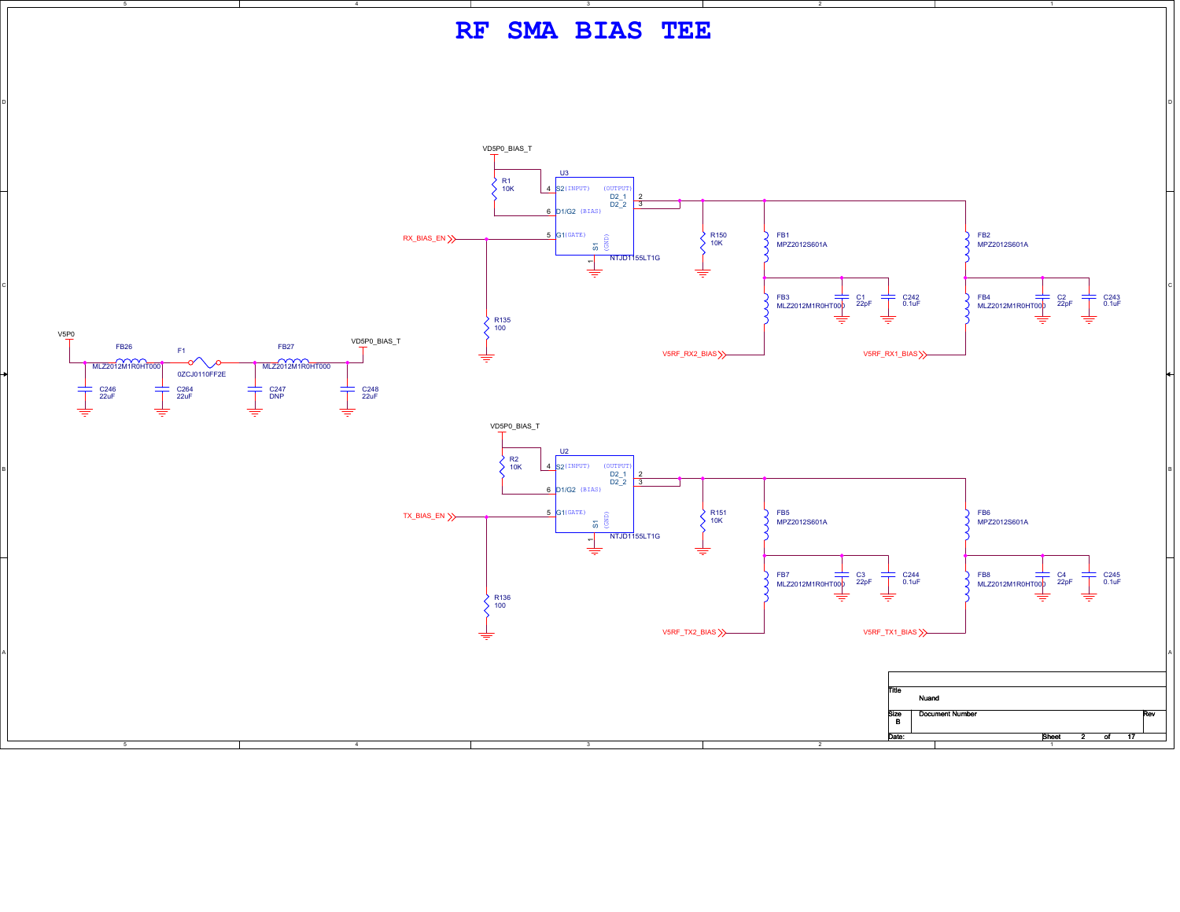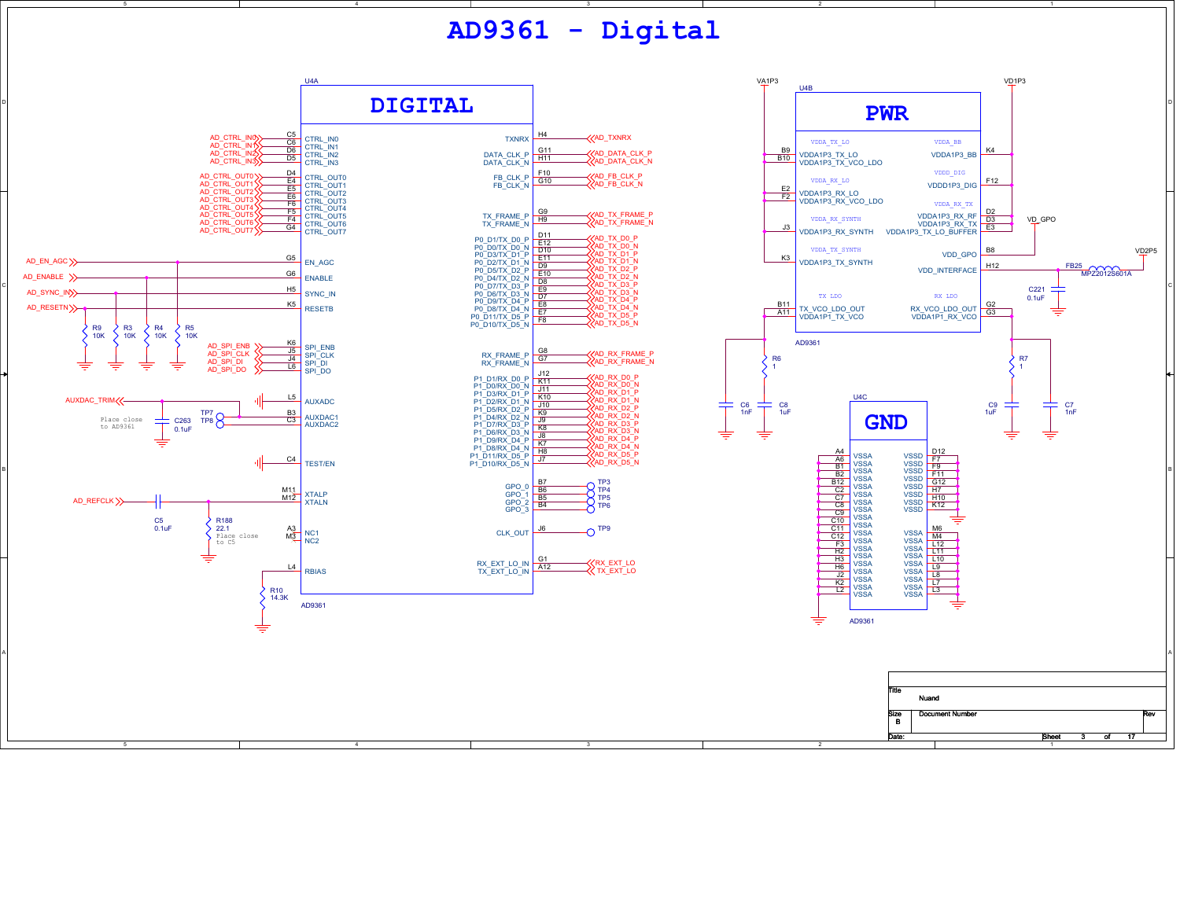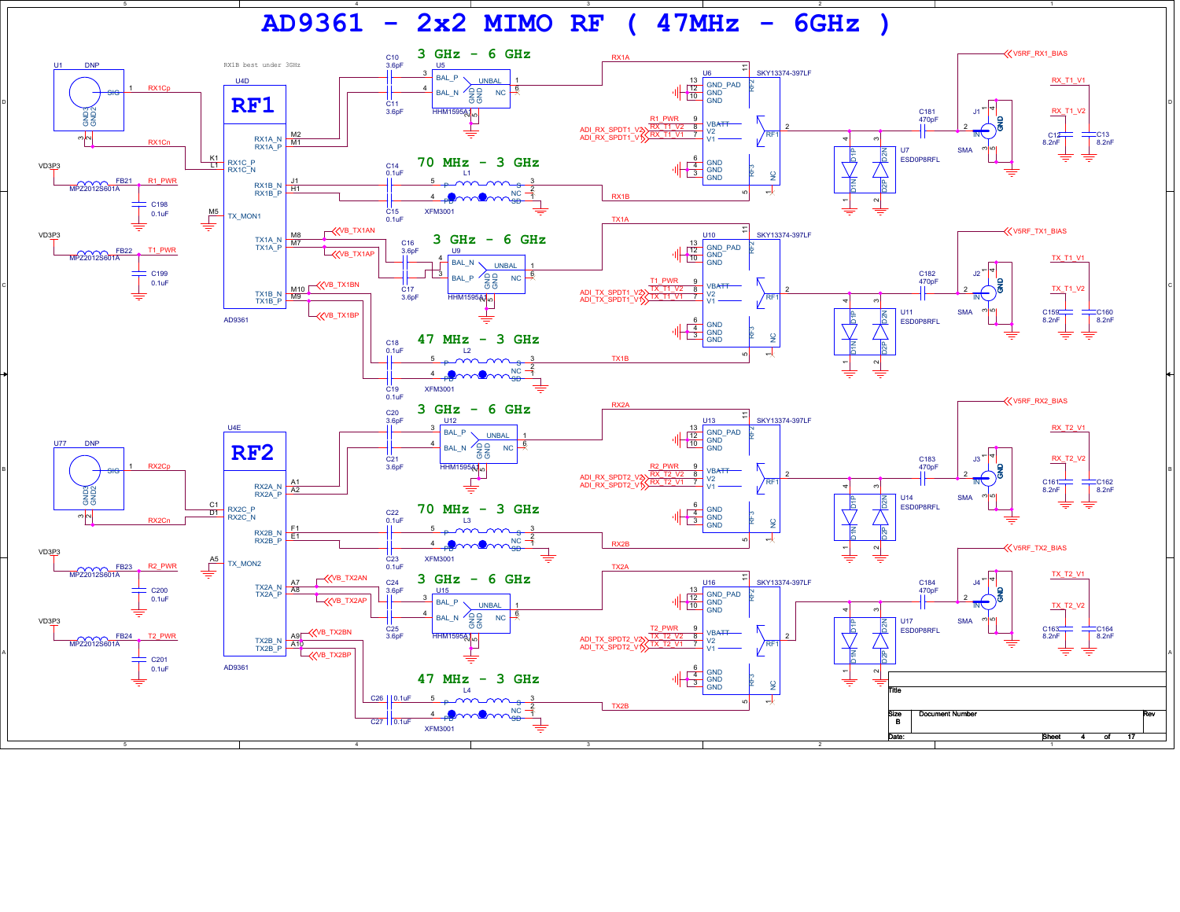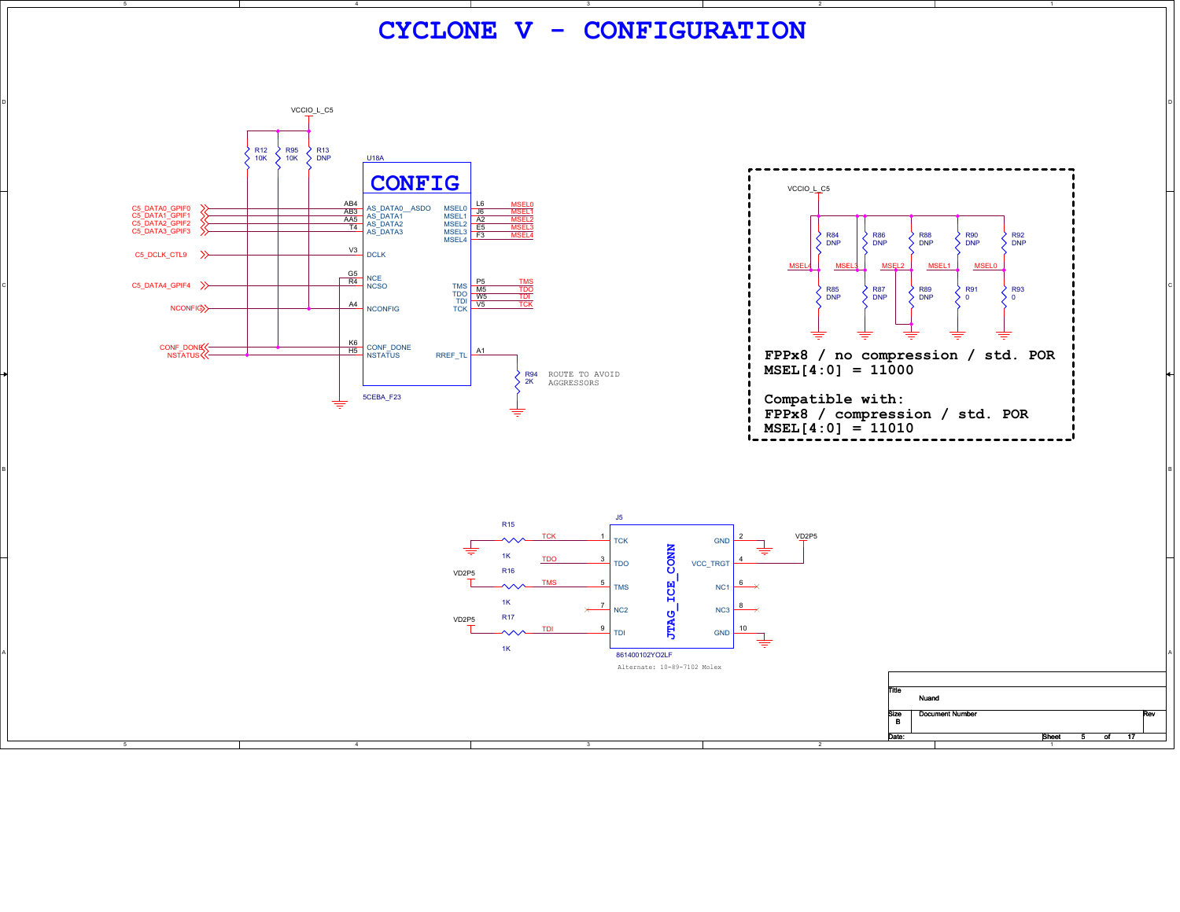**CYCLONE V - CONFIGURATION** D VCCIO\_L\_C5 R12 10K R95 10K R13 DNP <u>U18A</u> **CONFIG**VCCIO\_L\_C5 MSEL0AB4 AS\_DATA0\_\_ASDO MSEL0 L6<br>
<u>AB3</u> AS\_DATA1 MSEL1 J6<br>
T4 AS\_DATA2 MSEL2 LEE<br>
T4 AS\_DATA3 MSEL3 C5\_DATA0\_GPIF0<br>C5\_DATA1\_GPIF1<br>C5\_DATA2\_GPIF2<br>C5\_DATA3\_GPIF3 MSEL1MSEL<sub>2</sub> A2<br>MSEL2 E5 MSEL2MSEL3 $F3$ MS<sub>FI4</sub> MSEL<sub>4</sub> R84 DNP R86 DNP R88 DNP R90 DNP R92 DNP く C5\_DCLK\_CTL9 >>>>>>  $\frac{V3}{V2}$  DCLK MSEL2 MSEL1 MSEL MSEL4**R4**<br>NCSO<br>NCSO C5\_DATA4\_GPIF4 >> TMS<br>TDO M5<br>TDI W5 TMS<br>TDO<br>TDI C R87R91R93R85 DNP $\begin{array}{c}\n\big\{\frac{R}{200}\big\} & \begin{array}{c}\n\big\{89 \\
\big\{\frac{R}{200}\big\}\n\end{array}\n\end{array}$ <br>  $\begin{array}{c}\n\big\{\frac{R}{200}\big\} & \begin{array}{c}\n\big\{89 \\
\big\{\frac{R}{200}\big\}\n\end{array}\n\end{array}$ <br>  $\begin{array}{c}\n\big\{\frac{R}{200}\big\} & \begin{array}{c}\n\big\{89 \\
\big\{\frac{R}{200}\big\}\n\end{array}\n\end{array}$ DNP DNP $\overline{0}$  $\frac{AA}{A4}$  NCONFIG  $TCK$   $V5$ TCKNCONFIG <mark>K6</mark><br>H5 CONF\_DONE RREF\_TL A1 CONF\_DONE NSTATUS **FPPx8 / no compression / std. POR MSEL[4:0] = 11000**

**Compatible with: FPPx8 / compression / std. POR**  $MSEL[4:0] = 11010$ 

Title

Size<br>B

Nuand

Size Document Number Rev

<u>5 of 17</u>

Date: Sheet 5 of



BI<br>BI

ROUTE TO AVOID AGGRESSORS

R94 2K

4

5CEBA\_F23

≐

D

B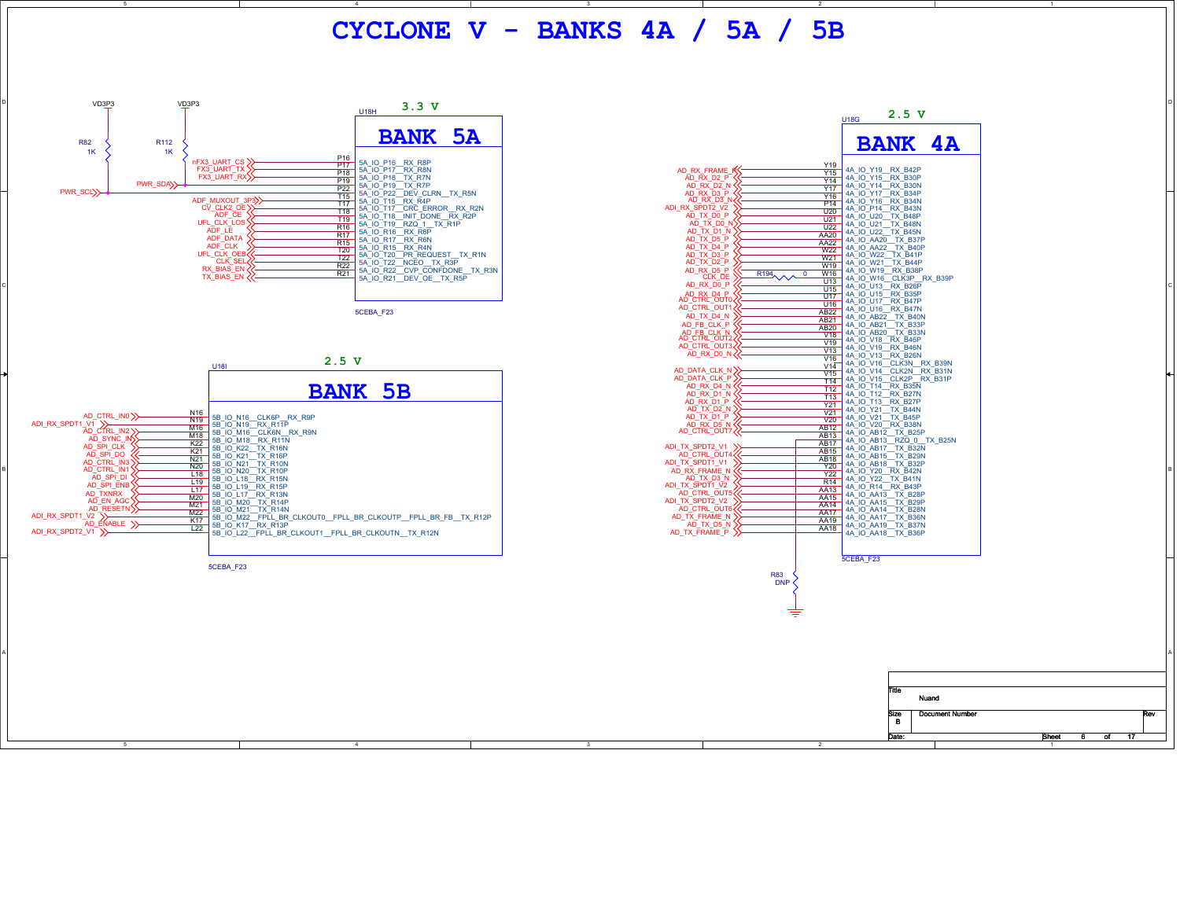**CYCLONE V - BANKS 4A / 5A / 5B**





6 of 17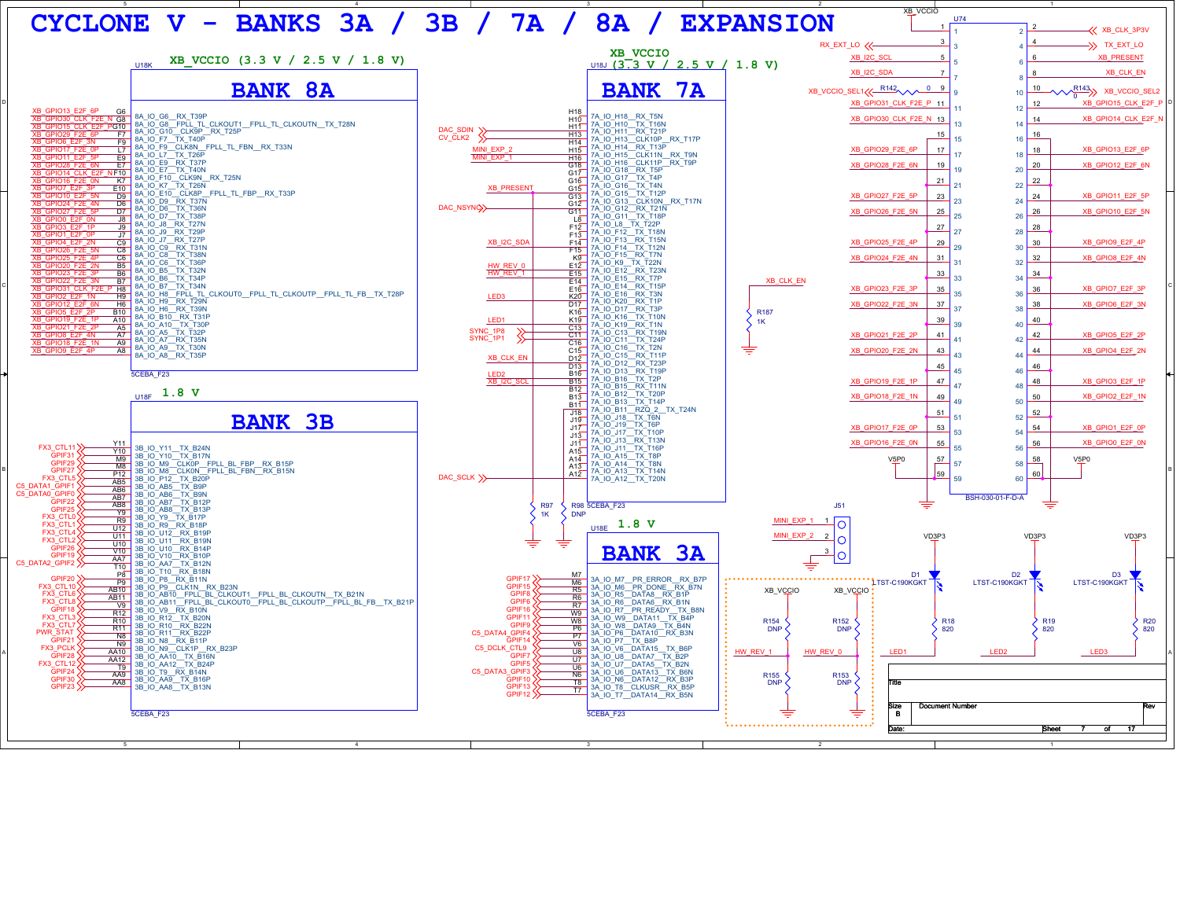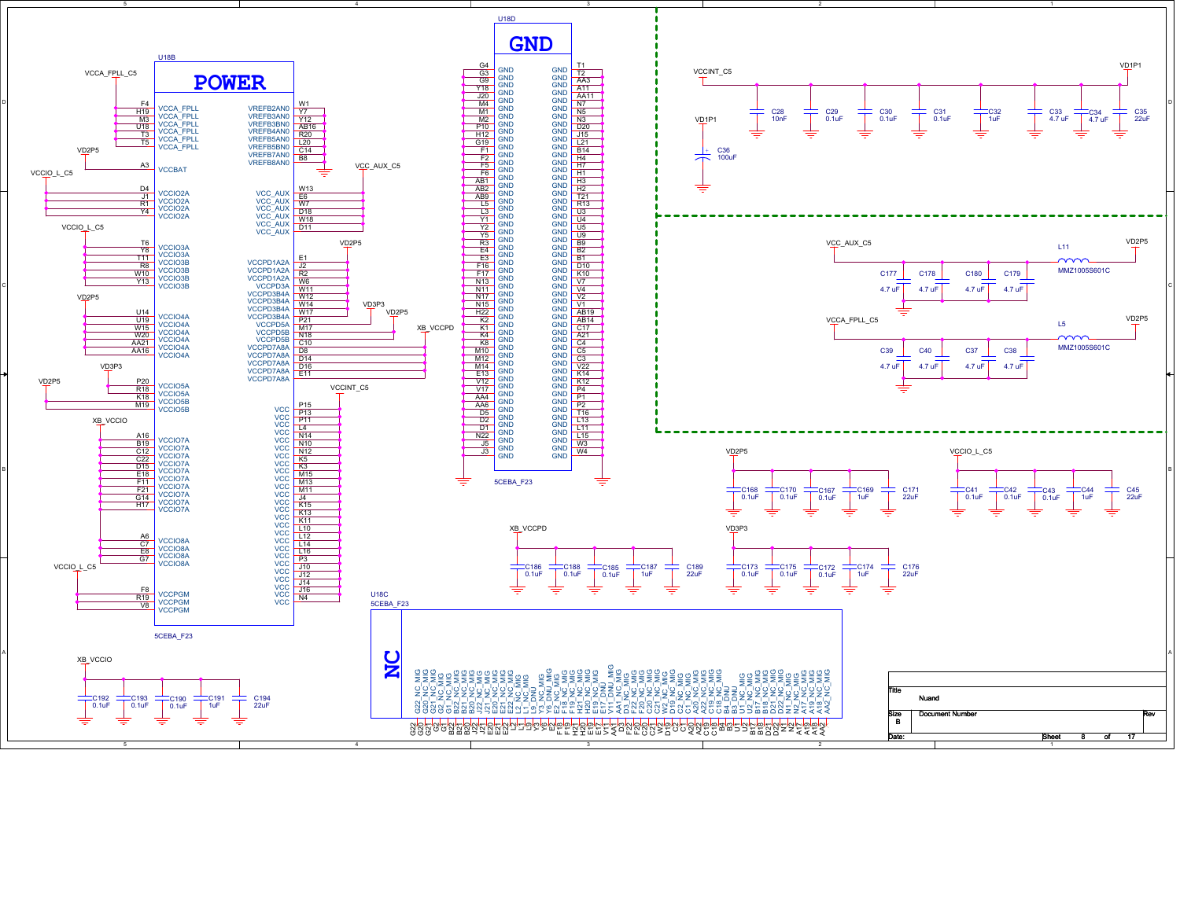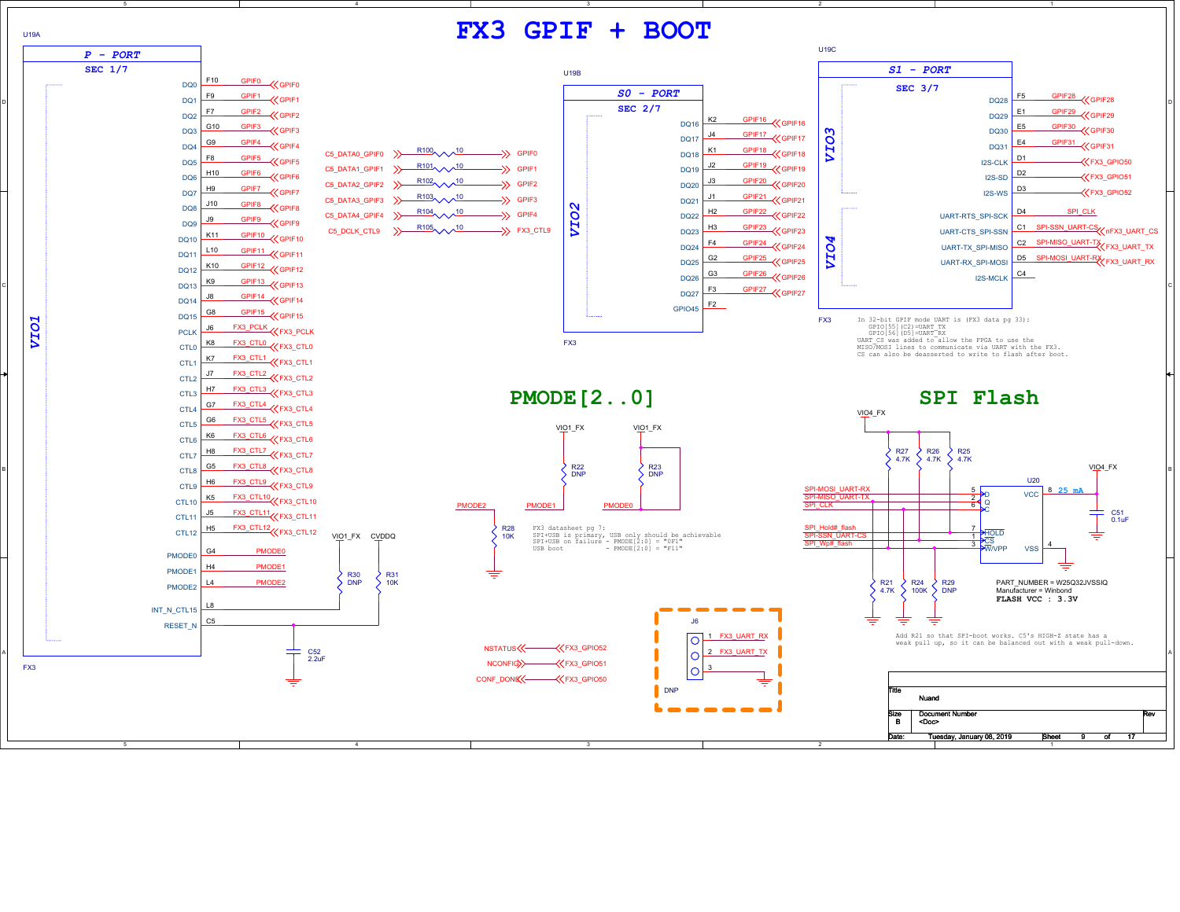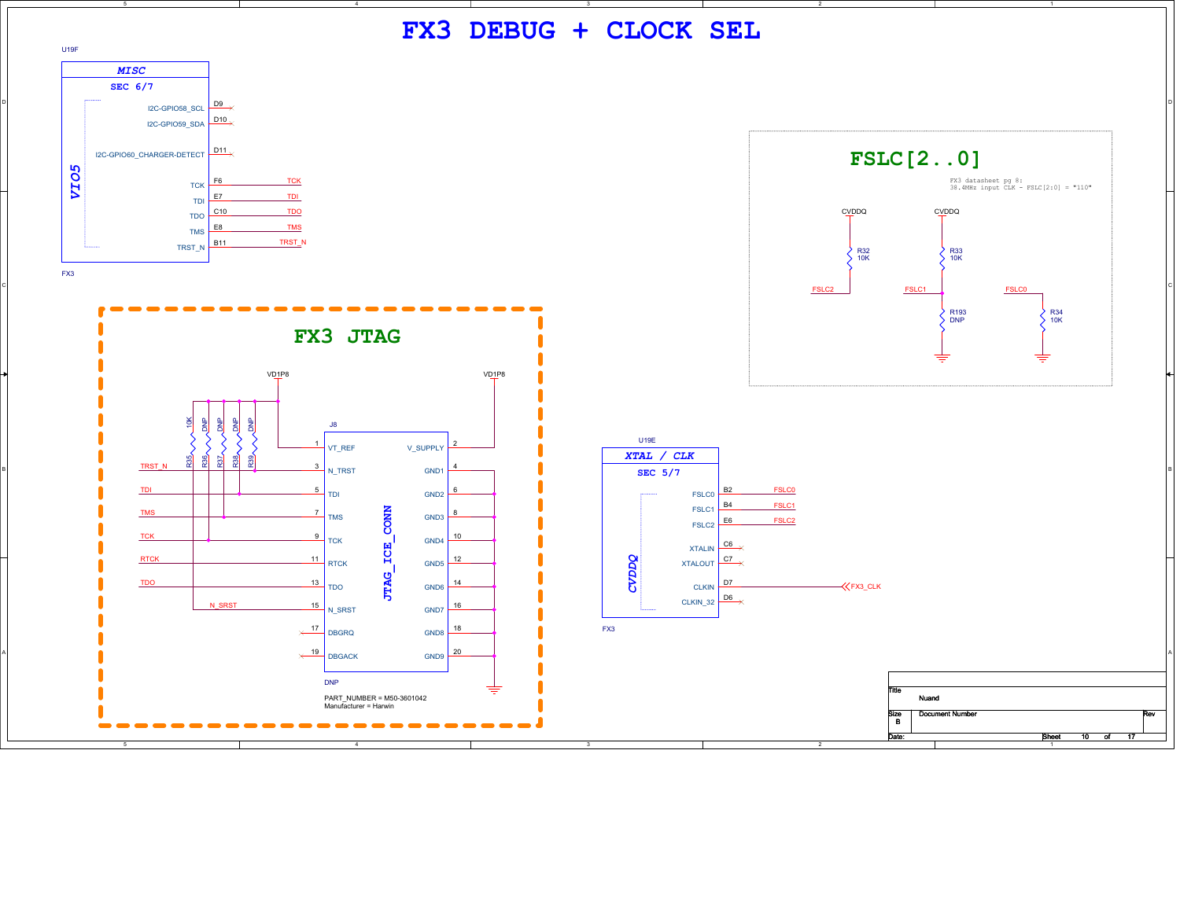**FX3 DEBUG + CLOCK SEL**





100 of 17



U19F

FX3

D

B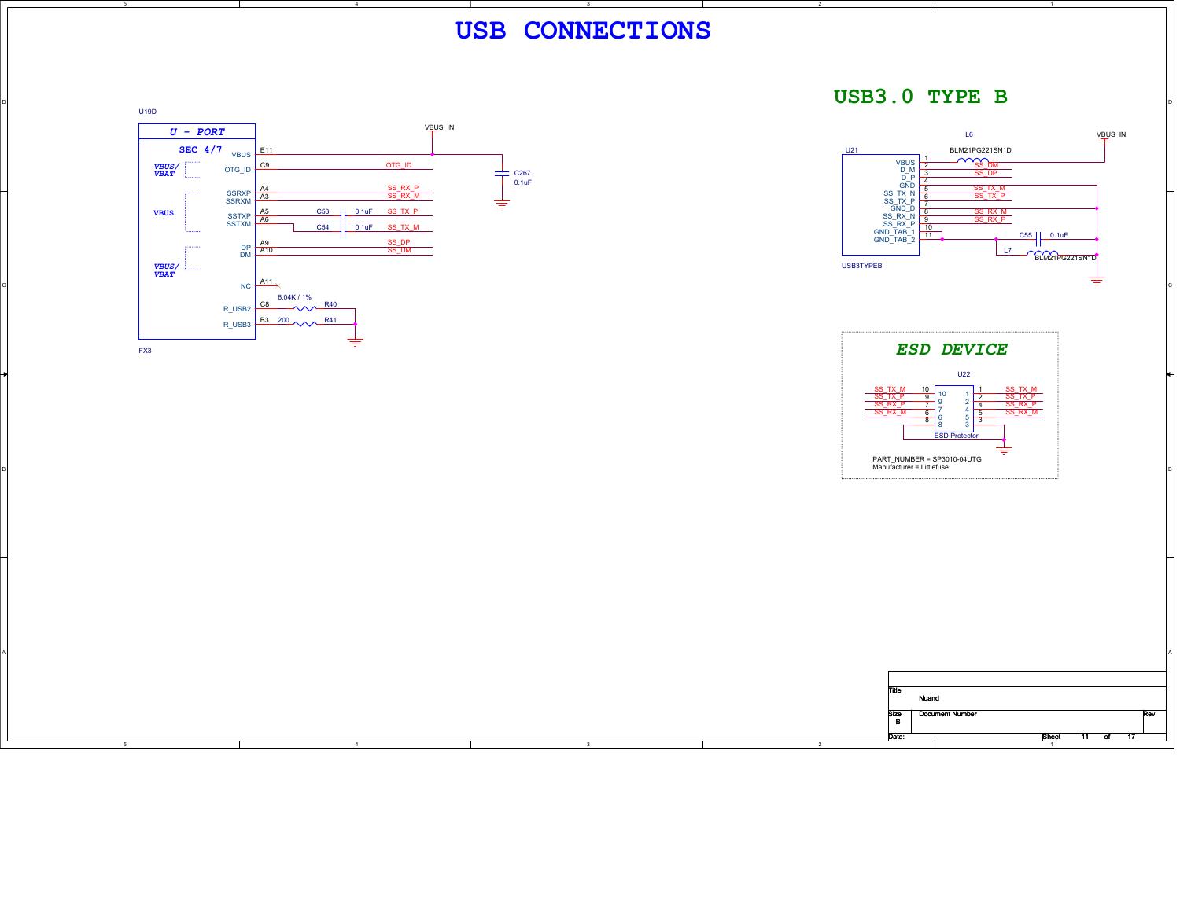

D

B



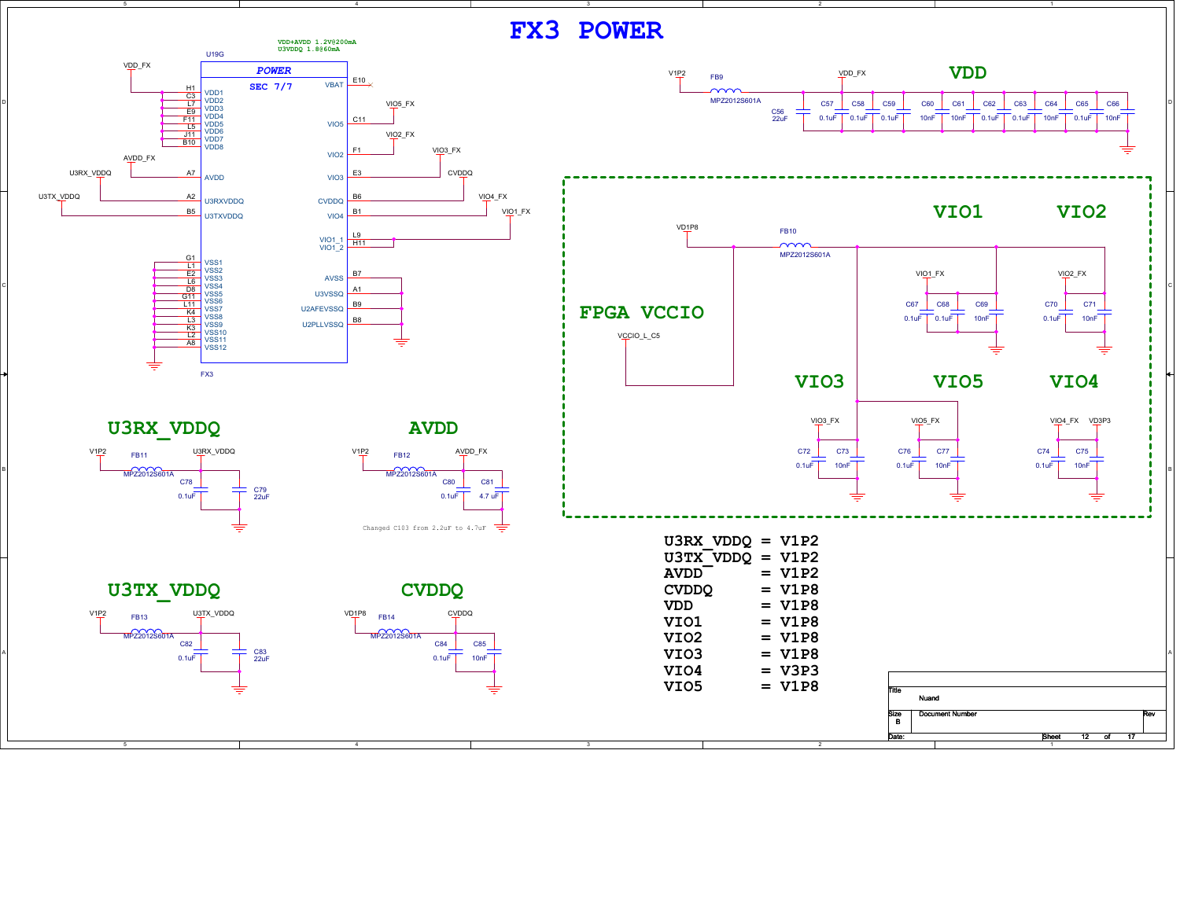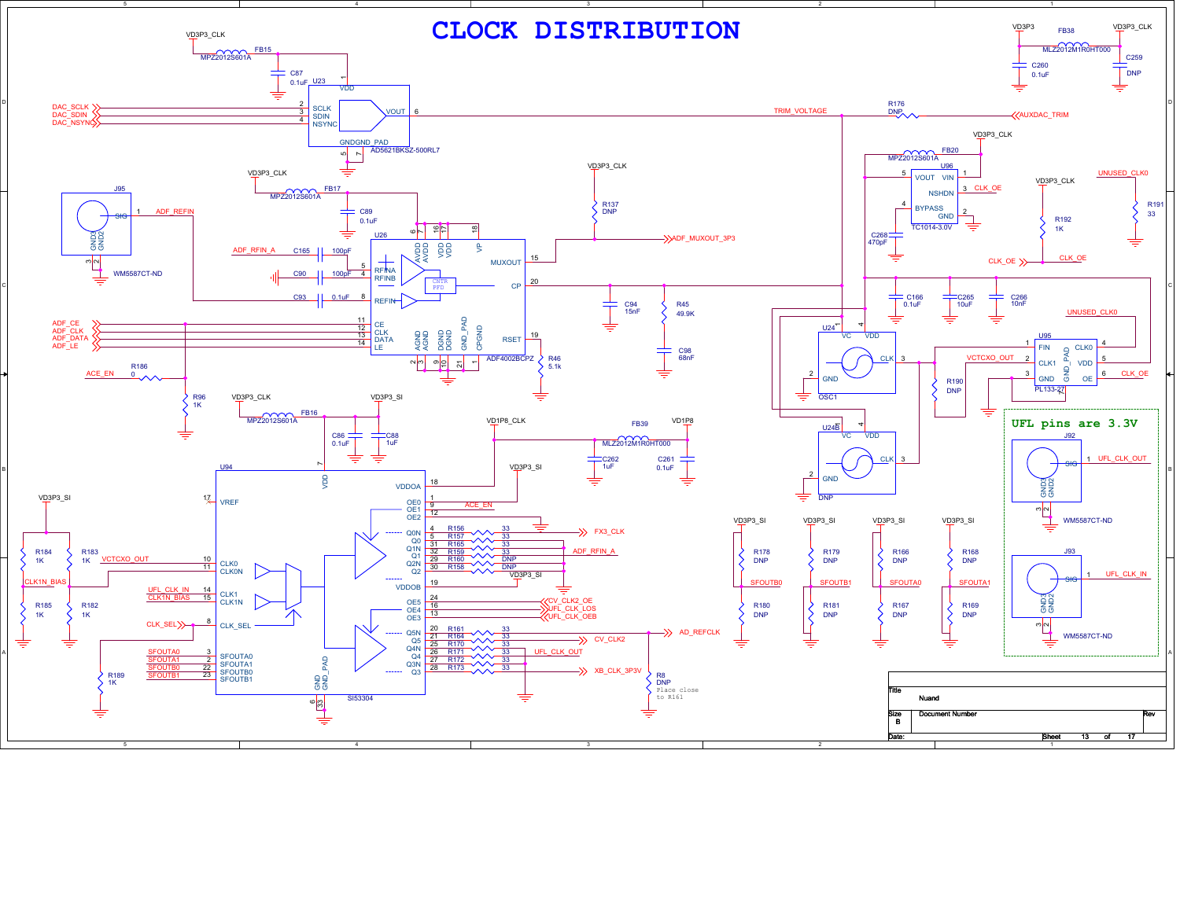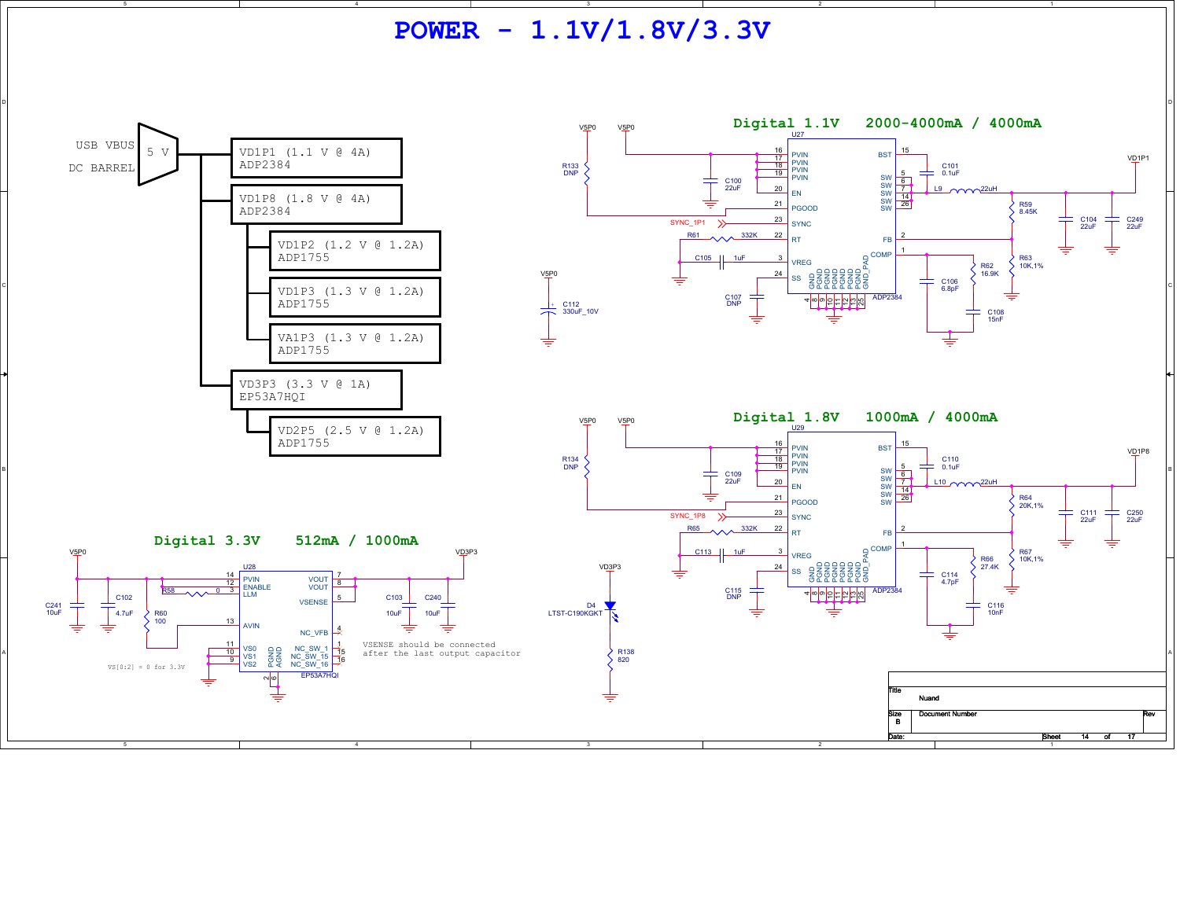**POWER - 1.1V/1.8V/3.3V**

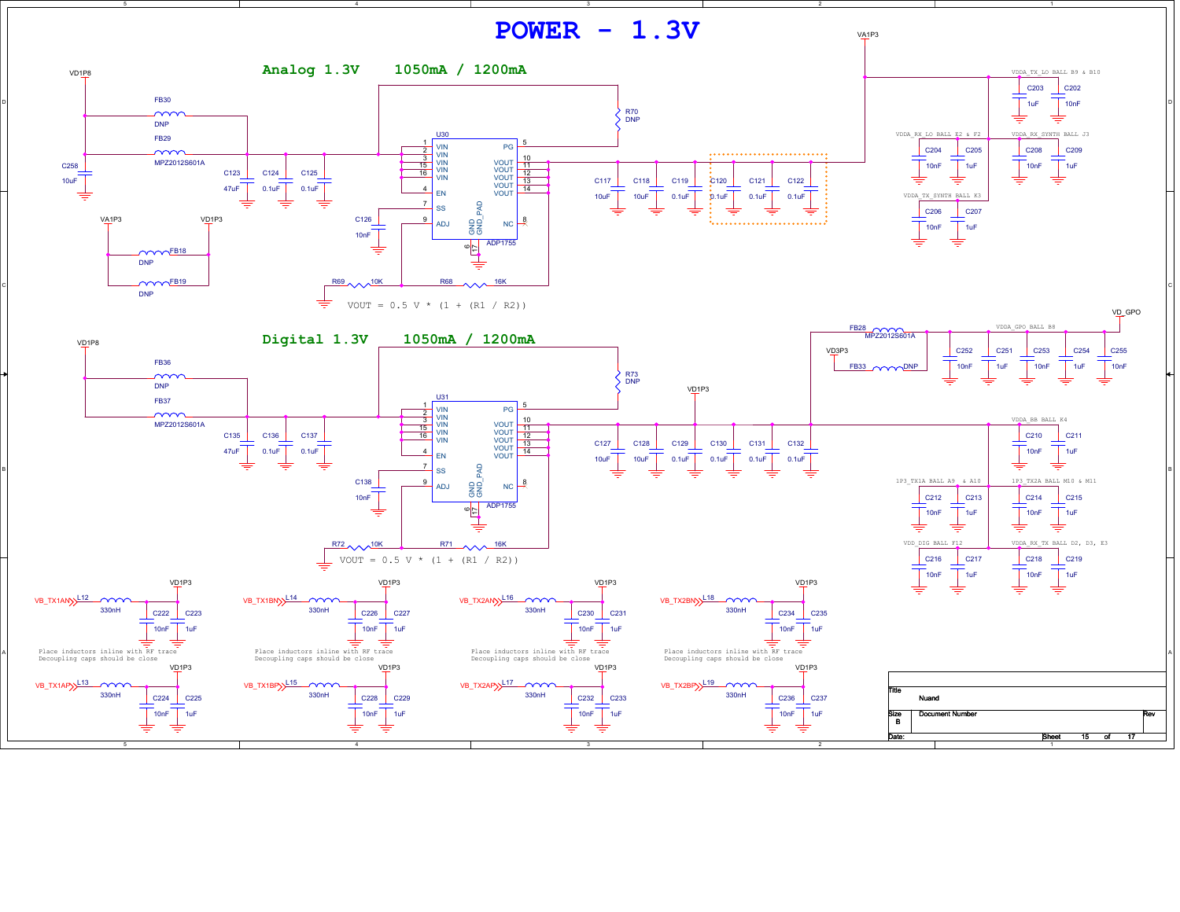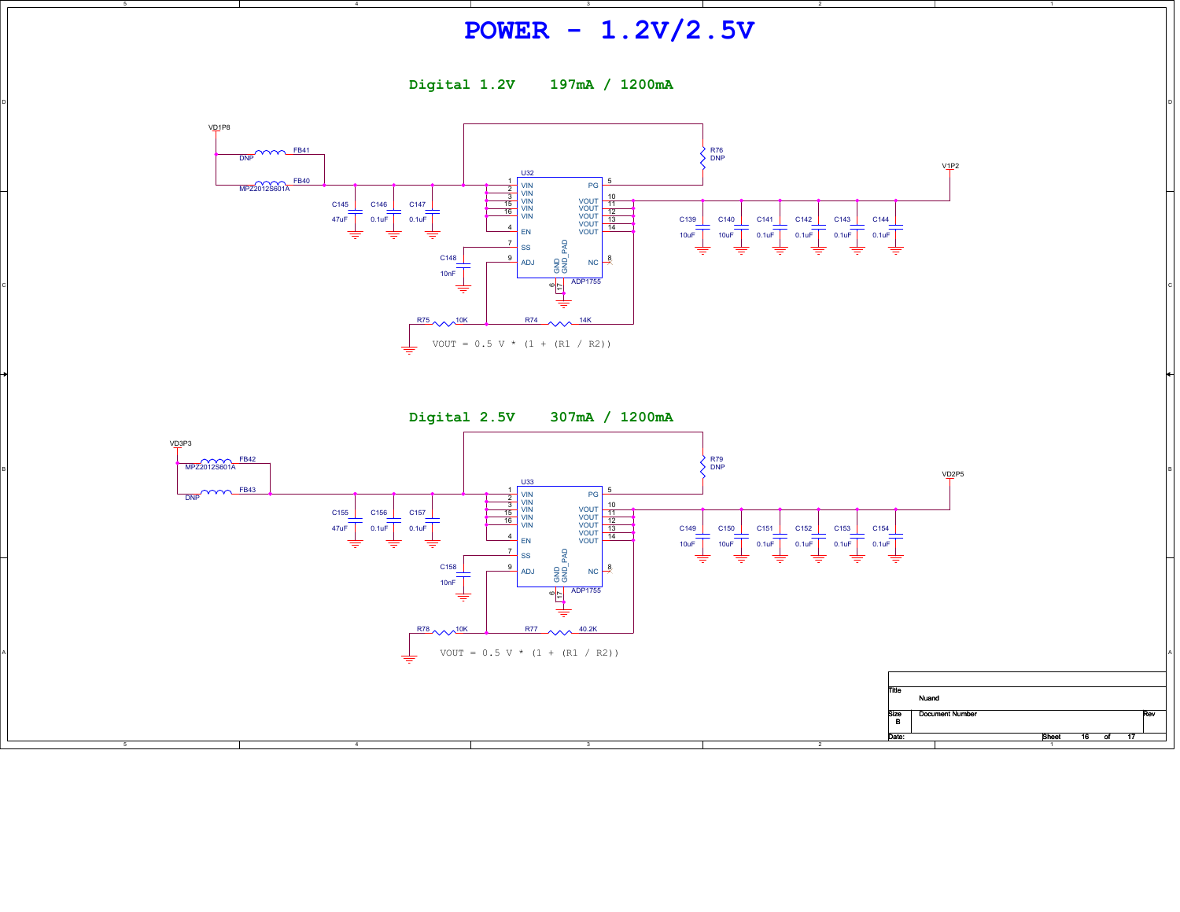## **POWER - 1.2V/2.5V**

**Digital 1.2V 197mA / 1200mA**

D

B